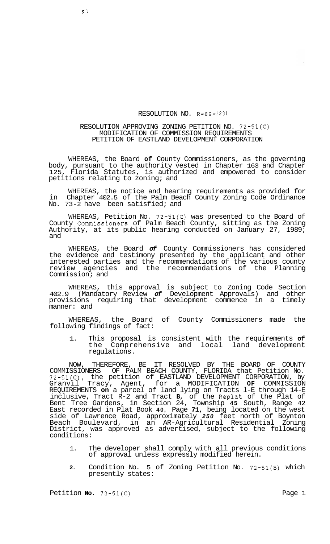## RESOLUTION NO. R-89-1231

## RESOLUTION APPROVING ZONING PETITION NO. 72-51(C) MODIFICATION OF COMMISSION REQUIREMENTS PETITION OF EASTLAND DEVELOPMENT CORPORATION

WHEREAS, the Board **of** County Commissioners, as the governing body, pursuant to the authority vested in Chapter 163 and Chapter<br>125. Florida Statutes, is authorized and empowered to consider Florida Statutes, is authorized and empowered to consider petitions relating to zoning; and

WHEREAS, the notice and hearing requirements as provided for in Chapter 402.5 of the Palm Beach County Zoning Code Ordinance No. 73-2 have been satisfied; and

WHEREAS, Petition No. 72-51(C) was presented to the Board of County Commissioners of Palm Beach County, sitting as the Zoning Authority, at its public hearing conducted on January 27, 1989; and

WHEREAS, the Board *of* County Commissioners has considered the evidence and testimony presented by the applicant and other interested parties and the recommendations of the various county review agencies and the recommendations of the Planning Commission; and

WHEREAS, this approval is subject to Zoning Code Section 402.9 (Mandatory Review *of* Development Approvals) and other provisions requiring that development commence in a timely manner: and

WHEREAS, the Board of County Commissioners made the following findings of fact:

1. This proposal is consistent with the requirements **of**  the Comprehensive and local regulations.

NOW, THEREFORE, BE IT RESOLVED BY THE BOARD OF COUNTY COMMISSIONERS OF PALM BEACH COUNTY, FLORIDA that Petition No. 72-51(C), the petition of EASTLAND DEVELOPMENT CORPORATION, by Granvil Tracy, Agent, for a MODIFICATION **OF** COMMISSION REQUIREMENTS **on** a parcel of land lying on Tracts l-E through 14-E inclusive, Tract R-2 and Tract **B,** of the Replat of the Plat of Bent Tree Gardens, in Section 24, Township **45** South, Range 42 East recorded in Plat Book **40,** Page **71,** being located on the west side of Lawrence Road, approximately *250* feet north of Boynton Beach Boulevard, in an AR-Agricultural Residential Zoning District, was approved as advertised, subject to the following conditions:

- 1. The developer shall comply with all previous conditions of approval unless expressly modified herein.
- **2.** Condition No. 5 of Zoning Petition No. 72-51(B) which presently states:

Petition **No.** 72-51(C) Page 1

 $\mathbf{X}$  .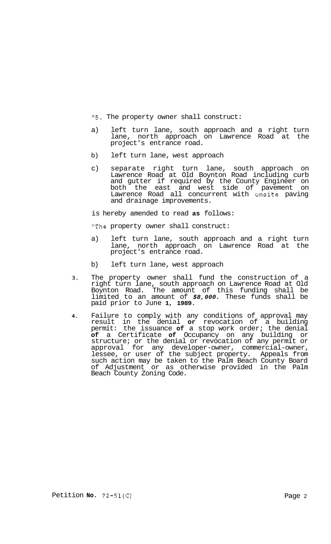**"5.** The property owner shall construct:

- a) left turn lane, south approach and a right turn lane, north approach on Lawrence Road at the project's entrance road.
- b) left turn lane, west approach
- c) separate right turn lane, south approach on Lawrence Road at Old Boynton Road including curb and gutter if required by the County Engineer on both the east and west side of pavement on Lawrence Road all concurrent with onsite paving and drainage improvements.

is hereby amended to read **as** follows:

"The property owner shall construct:

- a) left turn lane, south approach and a right turn lane, north approach on Lawrence Road at the project's entrance road.
- b) left turn lane, west approach
- **3.** The property owner shall fund the construction of a right turn lane, south approach on Lawrence Road at Old Boynton Road. The amount of this funding shall be limited to an amount of *\$8,000.* These funds shall be paid prior to June **1, 1989.**
- **4.** Failure to comply with any conditions of approval may result in the denial **or** revocation of a building permit: the issuance **of** a stop work order; the denial **of** a Certificate **of** Occupancy on any building or structure; or the denial or revocation of any permit or approval for any developer-owner, commercial-owner, lessee, or user of the subject property. Appeals from such action may be taken to the Palm Beach County Board of Adjustment or as otherwise provided in the Palm Beach County Zoning Code.